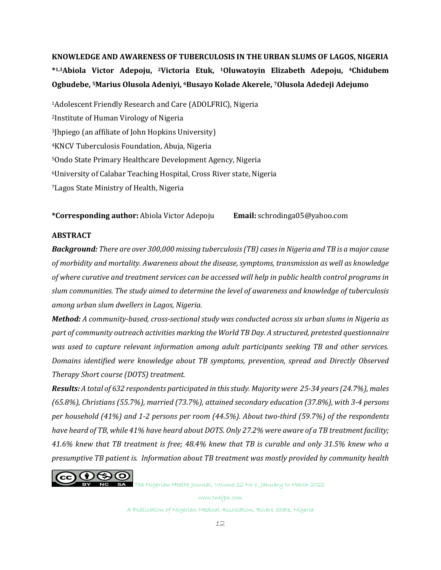**KNOWLEDGE AND AWARENESS OF TUBERCULOSIS IN THE URBAN SLUMS OF LAGOS, NIGERIA \* 1,3Abiola Victor Adepoju, 2Victoria Etuk, 1Oluwatoyin Elizabeth Adepoju, 4Chidubem Ogbudebe, 5Marius Olusola Adeniyi, 6Busayo Kolade Akerele, 7Olusola Adedeji Adejumo**

Adolescent Friendly Research and Care (ADOLFRIC), Nigeria Institute of Human Virology of Nigeria Jhpiego (an affiliate of John Hopkins University) KNCV Tuberculosis Foundation, Abuja, Nigeria Ondo State Primary Healthcare Development Agency, Nigeria University of Calabar Teaching Hospital, Cross River state, Nigeria Lagos State Ministry of Health, Nigeria

**\*Corresponding author:** Abiola Victor Adepoju **Email:** schrodinga05@yahoo.com

#### **ABSTRACT**

*Background: There are over 300,000 missing tuberculosis (TB) cases in Nigeria and TB is a major cause of morbidity and mortality. Awareness about the disease, symptoms, transmission as well as knowledge of where curative and treatment services can be accessed will help in public health control programs in slum communities. The study aimed to determine the level of awareness and knowledge of tuberculosis among urban slum dwellers in Lagos, Nigeria.*

*Method: A community-based, cross-sectional study was conducted across six urban slums in Nigeria as part of community outreach activities marking the World TB Day. A structured, pretested questionnaire was used to capture relevant information among adult participants seeking TB and other services. Domains identified were knowledge about TB symptoms, prevention, spread and Directly Observed Therapy Short course (DOTS) treatment.*

*Results: A total of 632 respondents participated in this study. Majority were 25-34 years (24.7%), males (65.8%), Christians (55.7%), married (73.7%), attained secondary education (37.8%), with 3-4 persons per household (41%) and 1-2 persons per room (44.5%). About two-third (59.7%) of the respondents have heard of TB, while 41% have heard about DOTS. Only 27.2% were aware of a TB treatment facility; 41.6% knew that TB treatment is free; 48.4% knew that TB is curable and only 31.5% knew who a presumptive TB patient is. Information about TB treatment was mostly provided by community health* 



**SA** The Nigerian Health Journal, Volume 22 No 1, January to March 2022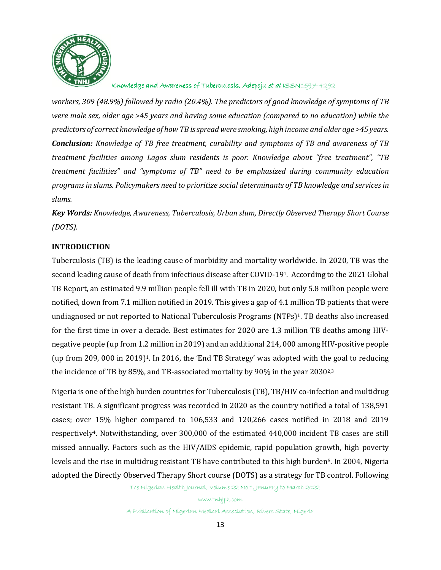

*workers, 309 (48.9%) followed by radio (20.4%). The predictors of good knowledge of symptoms of TB were male sex, older age >45 years and having some education (compared to no education) while the predictors of correct knowledge of how TB is spread were smoking, high income and older age >45 years. Conclusion: Knowledge of TB free treatment, curability and symptoms of TB and awareness of TB treatment facilities among Lagos slum residents is poor. Knowledge about "free treatment", "TB treatment facilities" and "symptoms of TB" need to be emphasized during community education programs in slums. Policymakers need to prioritize social determinants of TB knowledge and services in slums.*

*Key Words: Knowledge, Awareness, Tuberculosis, Urban slum, Directly Observed Therapy Short Course (DOTS).*

### **INTRODUCTION**

Tuberculosis (TB) is the leading cause of morbidity and mortality worldwide. In 2020, TB was the second leading cause of death from infectious disease after COVID-191. According to the 2021 Global TB Report, an estimated 9.9 million people fell ill with TB in 2020, but only 5.8 million people were notified, down from 7.1 million notified in 2019. This gives a gap of 4.1 million TB patients that were undiagnosed or not reported to National Tuberculosis Programs (NTPs)<sup>1</sup>. TB deaths also increased for the first time in over a decade. Best estimates for 2020 are 1.3 million TB deaths among HIVnegative people (up from 1.2 million in 2019) and an additional 214, 000 among HIV-positive people (up from 209, 000 in 2019)1. In 2016, the 'End TB Strategy' was adopted with the goal to reducing the incidence of TB by 85%, and TB-associated mortality by 90% in the year 2030<sup>2,3</sup>

Nigeria is one of the high burden countries for Tuberculosis (TB), TB/HIV co-infection and multidrug resistant TB. A significant progress was recorded in 2020 as the country notified a total of 138,591 cases; over 15% higher compared to 106,533 and 120,266 cases notified in 2018 and 2019 respectively4. Notwithstanding, over 300,000 of the estimated 440,000 incident TB cases are still missed annually. Factors such as the HIV/AIDS epidemic, rapid population growth, high poverty levels and the rise in multidrug resistant TB have contributed to this high burden5. In 2004, Nigeria adopted the Directly Observed Therapy Short course (DOTS) as a strategy for TB control. Following

The Nigerian Health Journal, Volume 22 No 1, January to March 2022

www.tnhjph.com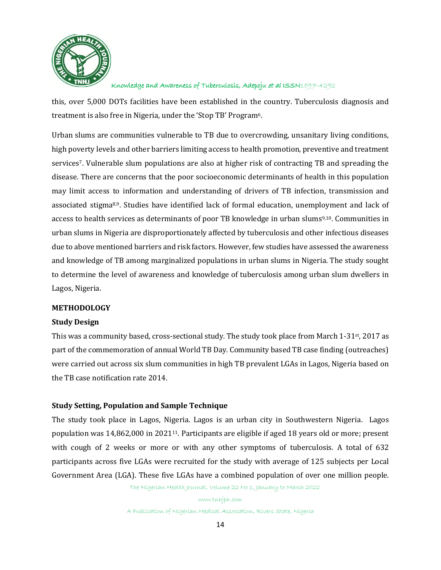

this, over 5,000 DOTs facilities have been established in the country. Tuberculosis diagnosis and treatment is also free in Nigeria, under the 'Stop TB' Program6.

Urban slums are communities vulnerable to TB due to overcrowding, unsanitary living conditions, high poverty levels and other barriers limiting access to health promotion, preventive and treatment services7. Vulnerable slum populations are also at higher risk of contracting TB and spreading the disease. There are concerns that the poor socioeconomic determinants of health in this population may limit access to information and understanding of drivers of TB infection, transmission and associated stigma8,9. Studies have identified lack of formal education, unemployment and lack of access to health services as determinants of poor TB knowledge in urban slums9,10. Communities in urban slums in Nigeria are disproportionately affected by tuberculosis and other infectious diseases due to above mentioned barriers and risk factors. However, few studies have assessed the awareness and knowledge of TB among marginalized populations in urban slums in Nigeria. The study sought to determine the level of awareness and knowledge of tuberculosis among urban slum dwellers in Lagos, Nigeria.

### **METHODOLOGY**

### **Study Design**

This was a community based, cross-sectional study. The study took place from March 1-31st, 2017 as part of the commemoration of annual World TB Day. Community based TB case finding (outreaches) were carried out across six slum communities in high TB prevalent LGAs in Lagos, Nigeria based on the TB case notification rate 2014.

## **Study Setting, Population and Sample Technique**

The study took place in Lagos, Nigeria. Lagos is an urban city in Southwestern Nigeria. Lagos population was 14,862,000 in 202111. Participants are eligible if aged 18 years old or more; present with cough of 2 weeks or more or with any other symptoms of tuberculosis. A total of 632 participants across five LGAs were recruited for the study with average of 125 subjects per Local Government Area (LGA). These five LGAs have a combined population of over one million people.

The Nigerian Health Journal, Volume 22 No 1, January to March 2022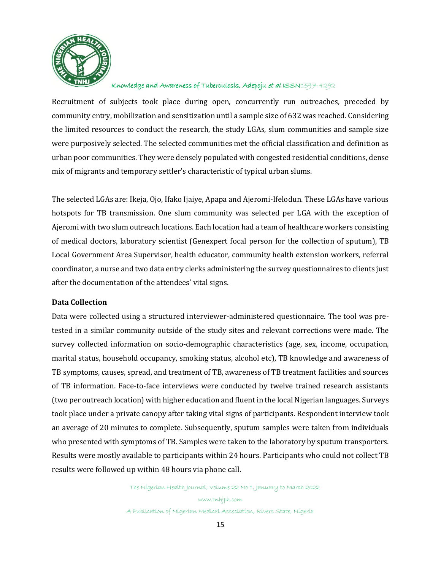

Recruitment of subjects took place during open, concurrently run outreaches, preceded by community entry, mobilization and sensitization until a sample size of 632 was reached. Considering the limited resources to conduct the research, the study LGAs, slum communities and sample size were purposively selected. The selected communities met the official classification and definition as urban poor communities. They were densely populated with congested residential conditions, dense mix of migrants and temporary settler's characteristic of typical urban slums.

The selected LGAs are: Ikeja, Ojo, Ifako Ijaiye, Apapa and Ajeromi-Ifelodun. These LGAs have various hotspots for TB transmission. One slum community was selected per LGA with the exception of Ajeromi with two slum outreach locations. Each location had a team of healthcare workers consisting of medical doctors, laboratory scientist (Genexpert focal person for the collection of sputum), TB Local Government Area Supervisor, health educator, community health extension workers, referral coordinator, a nurse and two data entry clerks administering the survey questionnaires to clients just after the documentation of the attendees' vital signs.

## **Data Collection**

Data were collected using a structured interviewer-administered questionnaire. The tool was pretested in a similar community outside of the study sites and relevant corrections were made. The survey collected information on socio-demographic characteristics (age, sex, income, occupation, marital status, household occupancy, smoking status, alcohol etc), TB knowledge and awareness of TB symptoms, causes, spread, and treatment of TB, awareness of TB treatment facilities and sources of TB information. Face-to-face interviews were conducted by twelve trained research assistants (two per outreach location) with higher education and fluent in the local Nigerian languages. Surveys took place under a private canopy after taking vital signs of participants. Respondent interview took an average of 20 minutes to complete. Subsequently, sputum samples were taken from individuals who presented with symptoms of TB. Samples were taken to the laboratory by sputum transporters. Results were mostly available to participants within 24 hours. Participants who could not collect TB results were followed up within 48 hours via phone call.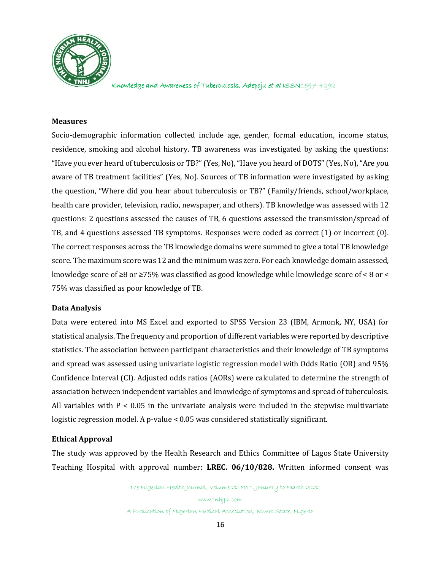

#### **Measures**

Socio-demographic information collected include age, gender, formal education, income status, residence, smoking and alcohol history. TB awareness was investigated by asking the questions: "Have you ever heard of tuberculosis or TB?" (Yes, No), "Have you heard of DOTS" (Yes, No), "Are you aware of TB treatment facilities" (Yes, No). Sources of TB information were investigated by asking the question, "Where did you hear about tuberculosis or TB?" (Family/friends, school/workplace, health care provider, television, radio, newspaper, and others). TB knowledge was assessed with 12 questions: 2 questions assessed the causes of TB, 6 questions assessed the transmission/spread of TB, and 4 questions assessed TB symptoms. Responses were coded as correct (1) or incorrect (0). The correct responses across the TB knowledge domains were summed to give a total TB knowledge score. The maximum score was 12 and the minimum was zero. For each knowledge domain assessed, knowledge score of  $\geq 8$  or  $\geq 75\%$  was classified as good knowledge while knowledge score of < 8 or < 75% was classified as poor knowledge of TB.

### **Data Analysis**

Data were entered into MS Excel and exported to SPSS Version 23 (IBM, Armonk, NY, USA) for statistical analysis. The frequency and proportion of different variables were reported by descriptive statistics. The association between participant characteristics and their knowledge of TB symptoms and spread was assessed using univariate logistic regression model with Odds Ratio (OR) and 95% Confidence Interval (CI). Adjusted odds ratios (AORs) were calculated to determine the strength of association between independent variables and knowledge of symptoms and spread of tuberculosis. All variables with  $P < 0.05$  in the univariate analysis were included in the stepwise multivariate logistic regression model. A p-value < 0.05 was considered statistically significant.

### **Ethical Approval**

The study was approved by the Health Research and Ethics Committee of Lagos State University Teaching Hospital with approval number: **LREC. 06/10/828.** Written informed consent was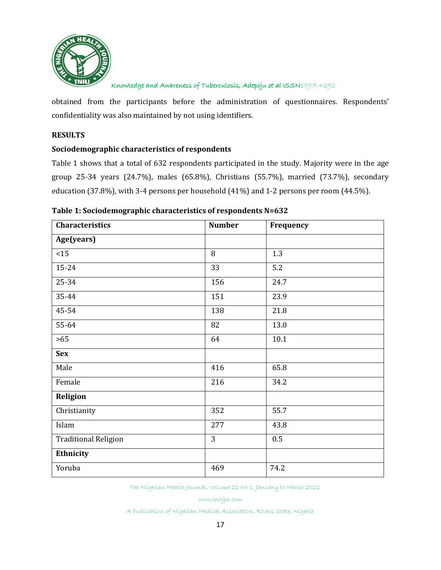

obtained from the participants before the administration of questionnaires. Respondents' confidentiality was also maintained by not using identifiers.

# **RESULTS**

### **Sociodemographic characteristics of respondents**

Table 1 shows that a total of 632 respondents participated in the study. Majority were in the age group 25-34 years (24.7%), males (65.8%), Christians (55.7%), married (73.7%), secondary education (37.8%), with 3-4 persons per household (41%) and 1-2 persons per room (44.5%).

| <b>Characteristics</b>      | <b>Number</b> | Frequency |
|-----------------------------|---------------|-----------|
| Age(years)                  |               |           |
| $<15$                       | 8             | 1.3       |
| 15-24                       | 33            | 5.2       |
| 25-34                       | 156           | 24.7      |
| 35-44                       | 151           | 23.9      |
| 45-54                       | 138           | 21.8      |
| 55-64                       | 82            | 13.0      |
| $>65$                       | 64            | 10.1      |
| <b>Sex</b>                  |               |           |
| Male                        | 416           | 65.8      |
| Female                      | 216           | 34.2      |
| Religion                    |               |           |
| Christianity                | 352           | 55.7      |
| Islam                       | 277           | 43.8      |
| <b>Traditional Religion</b> | 3             | $0.5\,$   |
| Ethnicity                   |               |           |
| Yoruba                      | 469           | 74.2      |

The Nigerian Health Journal, Volume 22 No 1, January to March 2022

www.tnhjph.com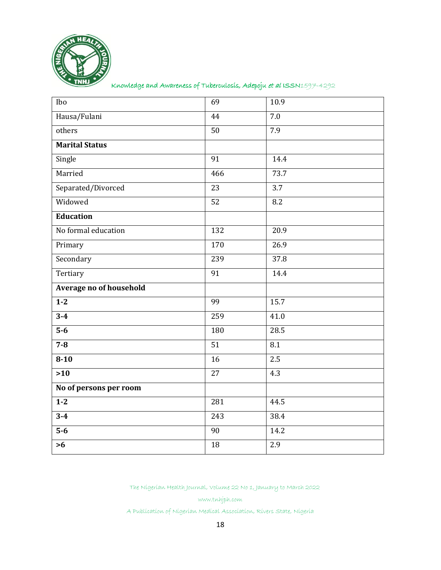

| Ibo                     | 69               | 10.9             |
|-------------------------|------------------|------------------|
| Hausa/Fulani            | 44               | 7.0              |
| others                  | 50               | 7.9              |
| <b>Marital Status</b>   |                  |                  |
| Single                  | 91               | 14.4             |
| Married                 | 466              | 73.7             |
| Separated/Divorced      | 23               | $\overline{3.7}$ |
| Widowed                 | 52               | 8.2              |
| Education               |                  |                  |
| No formal education     | 132              | 20.9             |
| Primary                 | 170              | 26.9             |
| Secondary               | 239              | 37.8             |
| Tertiary                | $\overline{91}$  | 14.4             |
| Average no of household |                  |                  |
| $\overline{1-2}$        | 99               | 15.7             |
| $3 - 4$                 | 259              | 41.0             |
| $\overline{5-6}$        | 180              | 28.5             |
| $7 - 8$                 | 51               | 8.1              |
| $8 - 10$                | 16               | $\overline{2.5}$ |
| $>10$                   | $\overline{27}$  | 4.3              |
| No of persons per room  |                  |                  |
| $1-2$                   | 281              | 44.5             |
| $3 - 4$                 | $\overline{243}$ | 38.4             |
| $\overline{5-6}$        | 90               | 14.2             |
| $>6$                    | $\overline{18}$  | 2.9              |

The Nigerian Health Journal, Volume 22 No 1, January to March 2022

www.tnhjph.com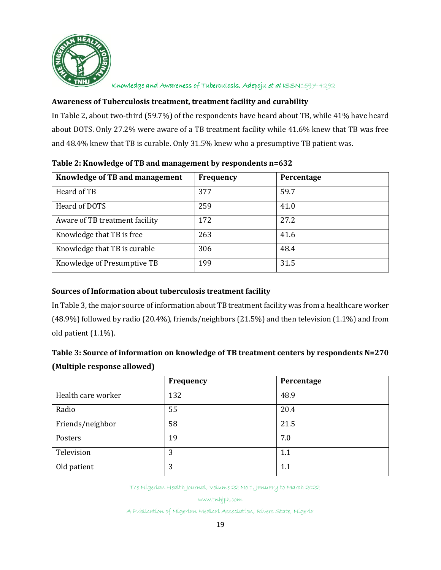

# **Awareness of Tuberculosis treatment, treatment facility and curability**

In Table 2, about two-third (59.7%) of the respondents have heard about TB, while 41% have heard about DOTS. Only 27.2% were aware of a TB treatment facility while 41.6% knew that TB was free and 48.4% knew that TB is curable. Only 31.5% knew who a presumptive TB patient was.

| Knowledge of TB and management | Frequency | Percentage |
|--------------------------------|-----------|------------|
| Heard of TB                    | 377       | 59.7       |
| Heard of DOTS                  | 259       | 41.0       |
| Aware of TB treatment facility | 172       | 27.2       |
| Knowledge that TB is free      | 263       | 41.6       |
| Knowledge that TB is curable   | 306       | 48.4       |
| Knowledge of Presumptive TB    | 199       | 31.5       |

## **Table 2: Knowledge of TB and management by respondents n=632**

# **Sources of Information about tuberculosis treatment facility**

In Table 3, the major source of information about TB treatment facility was from a healthcare worker (48.9%) followed by radio (20.4%), friends/neighbors (21.5%) and then television (1.1%) and from old patient (1.1%).

# **Table 3: Source of information on knowledge of TB treatment centers by respondents N=270 (Multiple response allowed)**

|                    | Frequency | Percentage |
|--------------------|-----------|------------|
| Health care worker | 132       | 48.9       |
| Radio              | 55        | 20.4       |
| Friends/neighbor   | 58        | 21.5       |
| Posters            | 19        | 7.0        |
| Television         | 3         | 1.1        |
| Old patient        | 3         | 1.1        |

The Nigerian Health Journal, Volume 22 No 1, January to March 2022

www.tnhjph.com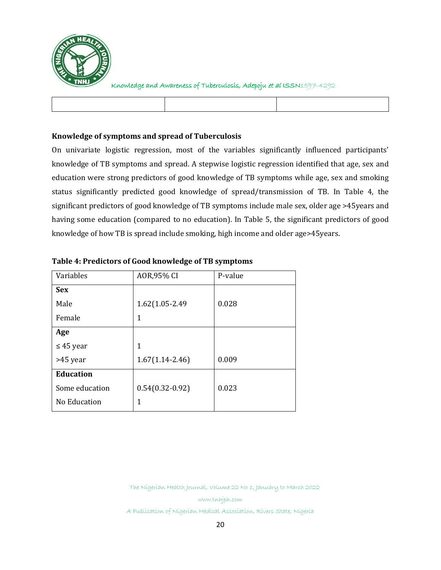

# **Knowledge of symptoms and spread of Tuberculosis**

On univariate logistic regression, most of the variables significantly influenced participants' knowledge of TB symptoms and spread. A stepwise logistic regression identified that age, sex and education were strong predictors of good knowledge of TB symptoms while age, sex and smoking status significantly predicted good knowledge of spread/transmission of TB. In Table 4, the significant predictors of good knowledge of TB symptoms include male sex, older age >45years and having some education (compared to no education). In Table 5, the significant predictors of good knowledge of how TB is spread include smoking, high income and older age>45years.

| Variables        | AOR, 95% CI         | P-value |
|------------------|---------------------|---------|
| <b>Sex</b>       |                     |         |
| Male             | 1.62(1.05-2.49)     | 0.028   |
| Female           | 1                   |         |
| Age              |                     |         |
| $\leq$ 45 year   | 1                   |         |
| >45 year         | $1.67(1.14 - 2.46)$ | 0.009   |
| <b>Education</b> |                     |         |
| Some education   | $0.54(0.32-0.92)$   | 0.023   |
| No Education     | 1                   |         |

# **Table 4: Predictors of Good knowledge of TB symptoms**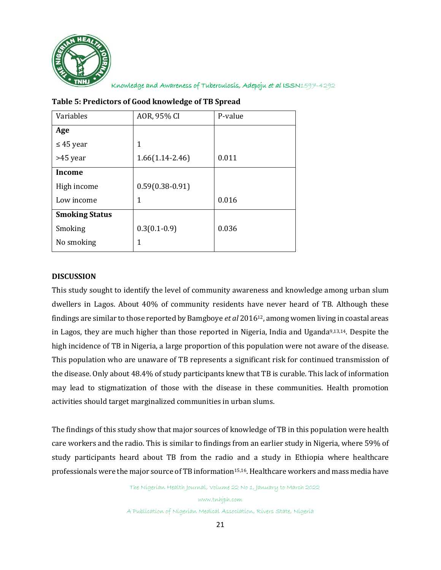

| Variables             | AOR, 95% CI         | P-value |
|-----------------------|---------------------|---------|
| Age                   |                     |         |
| $\leq$ 45 year        | 1                   |         |
| >45 year              | $1.66(1.14 - 2.46)$ | 0.011   |
| Income                |                     |         |
| High income           | $0.59(0.38-0.91)$   |         |
| Low income            | 1                   | 0.016   |
| <b>Smoking Status</b> |                     |         |
| Smoking               | $0.3(0.1-0.9)$      | 0.036   |
| No smoking            | 1                   |         |
|                       |                     |         |

# **Table 5: Predictors of Good knowledge of TB Spread**

# **DISCUSSION**

This study sought to identify the level of community awareness and knowledge among urban slum dwellers in Lagos. About 40% of community residents have never heard of TB. Although these findings are similar to those reported by Bamgboye *et al* 201612, among women living in coastal areas in Lagos, they are much higher than those reported in Nigeria, India and Uganda<sup>9,13,14</sup>. Despite the high incidence of TB in Nigeria, a large proportion of this population were not aware of the disease. This population who are unaware of TB represents a significant risk for continued transmission of the disease. Only about 48.4% of study participants knew that TB is curable. This lack of information may lead to stigmatization of those with the disease in these communities. Health promotion activities should target marginalized communities in urban slums.

The findings of this study show that major sources of knowledge of TB in this population were health care workers and the radio. This is similar to findings from an earlier study in Nigeria, where 59% of study participants heard about TB from the radio and a study in Ethiopia where healthcare professionals were the major source of TB information<sup>15,16</sup>. Healthcare workers and mass media have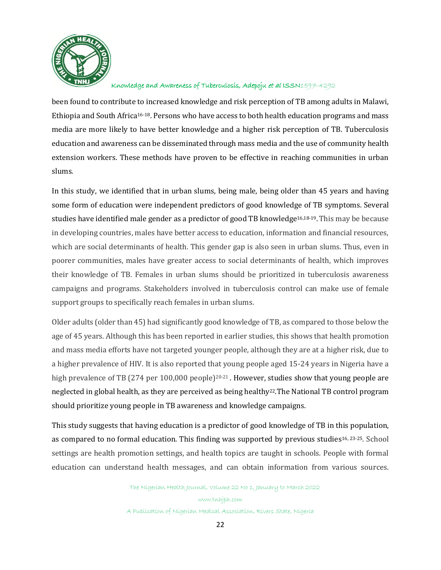

been found to contribute to increased knowledge and risk perception of TB among adults in Malawi, Ethiopia and South Africa16-18. Persons who have access to both health education programs and mass media are more likely to have better knowledge and a higher risk perception of TB. Tuberculosis education and awareness can be disseminated through mass media and the use of community health extension workers. These methods have proven to be effective in reaching communities in urban slums.

In this study, we identified that in urban slums, being male, being older than 45 years and having some form of education were independent predictors of good knowledge of TB symptoms. Several studies have identified male gender as a predictor of good TB knowledge<sup>16,18-19</sup>. This may be because in developing countries, males have better access to education, information and financial resources, which are social determinants of health. This gender gap is also seen in urban slums. Thus, even in poorer communities, males have greater access to social determinants of health, which improves their knowledge of TB. Females in urban slums should be prioritized in tuberculosis awareness campaigns and programs. Stakeholders involved in tuberculosis control can make use of female support groups to specifically reach females in urban slums.

Older adults (older than 45) had significantly good knowledge of TB, as compared to those below the age of 45 years. Although this has been reported in earlier studies, this shows that health promotion and mass media efforts have not targeted younger people, although they are at a higher risk, due to a higher prevalence of HIV. It is also reported that young people aged 15-24 years in Nigeria have a high prevalence of TB (274 per 100,000 people)<sup>20-21</sup>. However, studies show that young people are neglected in global health, as they are perceived as being healthy22.The National TB control program should prioritize young people in TB awareness and knowledge campaigns.

This study suggests that having education is a predictor of good knowledge of TB in this population, as compared to no formal education. This finding was supported by previous studies<sup>16, 23-25</sup>. School settings are health promotion settings, and health topics are taught in schools. People with formal education can understand health messages, and can obtain information from various sources.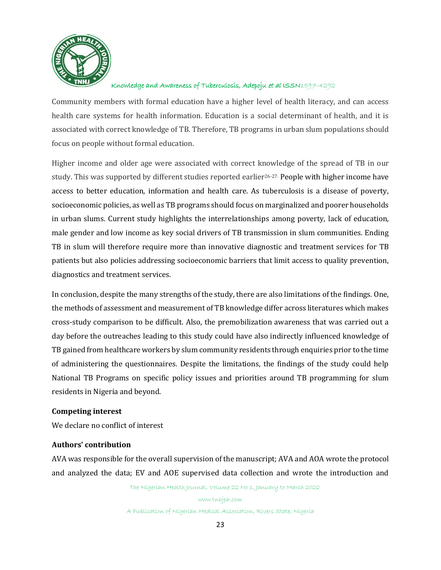

Community members with formal education have a higher level of health literacy, and can access health care systems for health information. Education is a social determinant of health, and it is associated with correct knowledge of TB. Therefore, TB programs in urban slum populations should focus on people without formal education.

Higher income and older age were associated with correct knowledge of the spread of TB in our study. This was supported by different studies reported earlier<sup>26-27.</sup> People with higher income have access to better education, information and health care. As tuberculosis is a disease of poverty, socioeconomic policies, as well as TB programs should focus on marginalized and poorer households in urban slums. Current study highlights the interrelationships among poverty, lack of education, male gender and low income as key social drivers of TB transmission in slum communities. Ending TB in slum will therefore require more than innovative diagnostic and treatment services for TB patients but also policies addressing socioeconomic barriers that limit access to quality prevention, diagnostics and treatment services.

In conclusion, despite the many strengths of the study, there are also limitations of the findings. One, the methods of assessment and measurement of TB knowledge differ across literatures which makes cross-study comparison to be difficult. Also, the premobilization awareness that was carried out a day before the outreaches leading to this study could have also indirectly influenced knowledge of TB gained from healthcare workers by slum community residents through enquiries prior to the time of administering the questionnaires. Despite the limitations, the findings of the study could help National TB Programs on specific policy issues and priorities around TB programming for slum residents in Nigeria and beyond.

### **Competing interest**

We declare no conflict of interest

### **Authors' contribution**

AVA was responsible for the overall supervision of the manuscript; AVA and AOA wrote the protocol and analyzed the data; EV and AOE supervised data collection and wrote the introduction and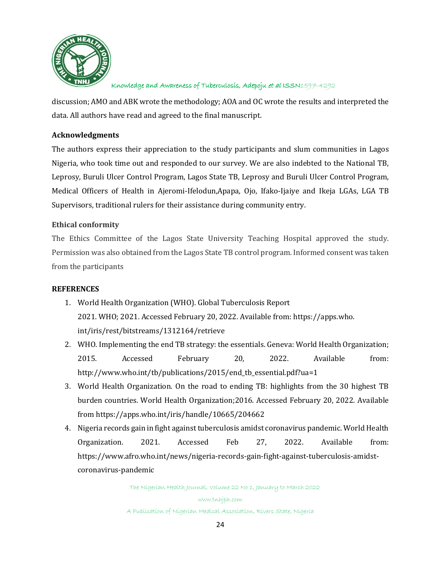

discussion; AMO and ABK wrote the methodology; AOA and OC wrote the results and interpreted the data. All authors have read and agreed to the final manuscript.

## **Acknowledgments**

The authors express their appreciation to the study participants and slum communities in Lagos Nigeria, who took time out and responded to our survey. We are also indebted to the National TB, Leprosy, Buruli Ulcer Control Program, Lagos State TB, Leprosy and Buruli Ulcer Control Program, Medical Officers of Health in Ajeromi-Ifelodun,Apapa, Ojo, Ifako-Ijaiye and Ikeja LGAs, LGA TB Supervisors, traditional rulers for their assistance during community entry.

## **Ethical conformity**

The Ethics Committee of the Lagos State University Teaching Hospital approved the study. Permission was also obtained from the Lagos State TB control program. Informed consent was taken from the participants

### **REFERENCES**

- 1. World Health Organization (WHO). Global Tuberculosis Report 2021. WHO; 2021. Accessed February 20, 2022. Available from: https://apps.who. int/iris/rest/bitstreams/1312164/retrieve
- 2. WHO. Implementing the end TB strategy: the essentials. Geneva: World Health Organization; 2015. Accessed February 20, 2022. Available from: http://www.who.int/tb/publications/2015/end\_tb\_essential.pdf?ua=1
- 3. World Health Organization. On the road to ending TB: highlights from the 30 highest TB burden countries. World Health Organization;2016. Accessed February 20, 2022. Available from<https://apps.who.int/iris/handle/10665/204662>
- 4. Nigeria records gain in fight against tuberculosis amidst coronavirus pandemic. World Health Organization. 2021. Accessed Feb 27, 2022. Available from: https://www.afro.who.int/news/nigeria-records-gain-fight-against-tuberculosis-amidstcoronavirus-pandemic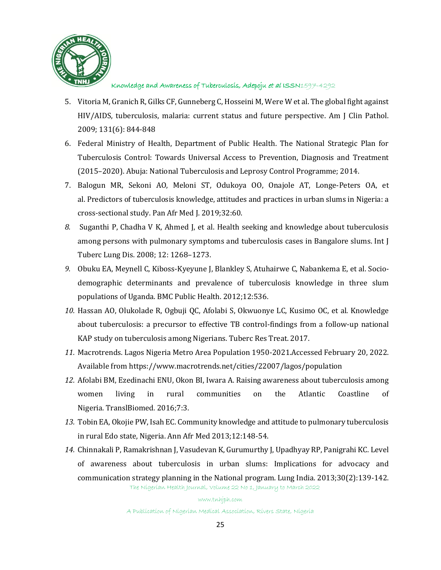

- 5. Vitoria M, Granich R, Gilks CF, Gunneberg C, Hosseini M, Were W et al. The global fight against HIV/AIDS, tuberculosis, malaria: current status and future perspective. Am J Clin Pathol. 2009; 131(6): 844-848
- 6. Federal Ministry of Health, Department of Public Health. The National Strategic Plan for Tuberculosis Control: Towards Universal Access to Prevention, Diagnosis and Treatment (2015–2020). Abuja: National Tuberculosis and Leprosy Control Programme; 2014.
- 7. Balogun MR, Sekoni AO, Meloni ST, Odukoya OO, Onajole AT, Longe-Peters OA, et al. Predictors of tuberculosis knowledge, attitudes and practices in urban slums in Nigeria: a cross-sectional study. Pan Afr Med J. 2019;32:60.
- *8.* Suganthi P, Chadha V K, Ahmed J, et al. Health seeking and knowledge about tuberculosis among persons with pulmonary symptoms and tuberculosis cases in Bangalore slums. Int J Tuberc Lung Dis. 2008; 12: 1268–1273.
- *9.* Obuku EA, Meynell C, Kiboss-Kyeyune J, Blankley S, Atuhairwe C, Nabankema E, et al. Sociodemographic determinants and prevalence of tuberculosis knowledge in three slum populations of Uganda. BMC Public Health. 2012;12:536.
- *10.* Hassan AO, Olukolade R, Ogbuji QC, Afolabi S, Okwuonye LC, Kusimo OC, et al. Knowledge about tuberculosis: a precursor to effective TB control-findings from a follow-up national KAP study on tuberculosis among Nigerians. Tuberc Res Treat. 2017.
- *11.* Macrotrends. Lagos Nigeria Metro Area Population 1950-2021.Accessed February 20, 2022. Available from https://www.macrotrends.net/cities/22007/lagos/population
- *12.* Afolabi BM, Ezedinachi ENU, Okon BI, Iwara A. Raising awareness about tuberculosis among women living in rural communities on the Atlantic Coastline of Nigeria. TranslBiomed*.* 2016;7:3.
- *13.* Tobin EA, Okojie PW, Isah EC. Community knowledge and attitude to pulmonary tuberculosis in rural Edo state, Nigeria. Ann Afr Med 2013;12:148-54.
- *14.* Chinnakali P, Ramakrishnan J, Vasudevan K, Gurumurthy J, Upadhyay RP, Panigrahi KC. Level of awareness about tuberculosis in urban slums: Implications for advocacy and communication strategy planning in the National program. Lung India. 2013;30(2):139-142.

The Nigerian Health Journal, Volume 22 No 1, January to March 2022

www.tnhjph.com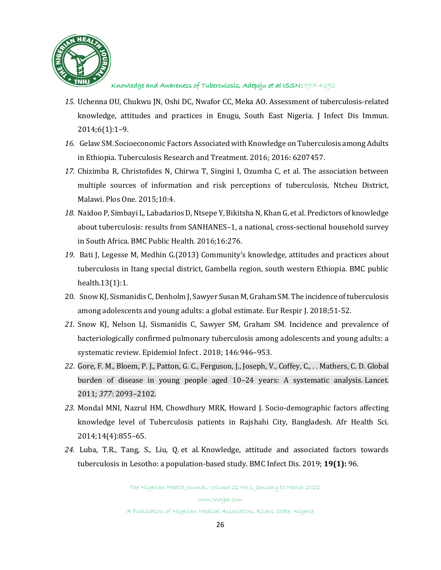

- *15.* Uchenna OU, Chukwu JN, Oshi DC, Nwafor CC, Meka AO. Assessment of tuberculosis-related knowledge, attitudes and practices in Enugu, South East Nigeria. J Infect Dis Immun. 2014;6(1):1–9.
- *16.* Gelaw SM. Socioeconomic Factors Associated with Knowledge on Tuberculosis among Adults in Ethiopia. Tuberculosis Research and Treatment. 2016; 2016: 6207457.
- *17.* Chizimba R, Christofides N, Chirwa T, Singini I, Ozumba C, et al. The association between multiple sources of information and risk perceptions of tuberculosis, Ntcheu District, Malawi. Plos One*.* 2015;10:4.
- *18.* Naidoo P, Simbayi L, Labadarios D, Ntsepe Y, Bikitsha N, Khan G, et al. Predictors of knowledge about tuberculosis: results from SANHANES–1, a national, cross-sectional household survey in South Africa. BMC Public Health. 2016;16:276.
- *19.* Bati J, Legesse M, Medhin G.(2013) Community's knowledge, attitudes and practices about tuberculosis in Itang special district, Gambella region, south western Ethiopia. BMC public health.13(1):1.
- 20. Snow KJ, Sismanidis C, Denholm J, Sawyer Susan M, Graham SM. The incidence of tuberculosis among adolescents and young adults: a global estimate. Eur Respir J. 2018;51-52.
- *21.* Snow KJ, Nelson LJ, Sismanidis C, Sawyer SM, Graham SM. Incidence and prevalence of bacteriologically confirmed pulmonary tuberculosis among adolescents and young adults: a systematic review. Epidemiol Infect . 2018; 146:946–953.
- *22.* Gore, F. M., Bloem, P. J., Patton, G. C., Ferguson, J., Joseph, V., Coffey, C., *. .* Mathers, C. D. Global burden of disease in young people aged 10–24 years: A systematic analysis. Lancet*.* 2011; *377*: 2093–2102.
- *23.* Mondal MNI, Nazrul HM, Chowdhury MRK, Howard J. Socio-demographic factors affecting knowledge level of Tuberculosis patients in Rajshahi City, Bangladesh. Afr Health Sci. 2014;14(4):855–65.
- *24.* Luba, T.R., Tang, S., Liu, Q. et al*.* Knowledge, attitude and associated factors towards tuberculosis in Lesotho: a population-based study. BMC Infect Dis. 2019; **19(1):** 96.